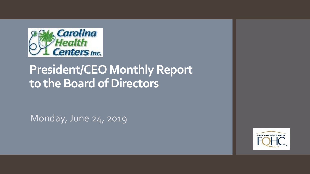

# **President/CEO Monthly Report to the Board of Directors**

Monday, June 24, 2019

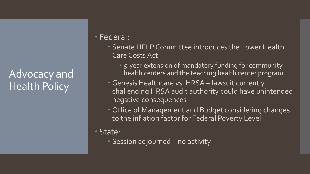## Advocacy and Health Policy

#### Federal:

- Senate HELP Committee introduces the Lower Health Care Costs Act
	- 5-year extension of mandatory funding for community health centers and the teaching health center program
- Genesis Healthcare vs. HRSA lawsuit currently challenging HRSA audit authority could have unintended negative consequences
- Office of Management and Budget considering changes to the inflation factor for Federal Poverty Level

#### State:

Session adjourned – no activity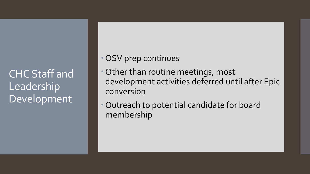CHC Staff and Leadership Development

#### OSV prep continues

- Other than routine meetings, most development activities deferred until after Epic conversion
- Outreach to potential candidate for board membership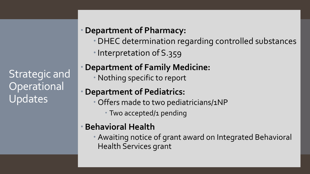Strategic and **Operational** Updates

### **Department of Pharmacy:**

- DHEC determination regarding controlled substances
- Interpretation of S.359

## **Department of Family Medicine:**

Nothing specific to report

### **Department of Pediatrics:**

- Offers made to two pediatricians/1NP
	- Two accepted/1 pending

## **Behavioral Health**

 Awaiting notice of grant award on Integrated Behavioral Health Services grant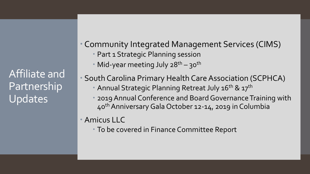Affiliate and **Partnership** Updates

- Community Integrated Management Services (CIMS) Part 1 Strategic Planning session
	- Mid-year meeting July  $28^{th} 30^{th}$
	- South Carolina Primary Health Care Association (SCPHCA)
		- Annual Strategic Planning Retreat July 16<sup>th</sup> & 17<sup>th</sup>
		- 2019 Annual Conference and Board Governance Training with 40thAnniversary Gala October 12-14, 2019 in Columbia
- Amicus LLC
	- To be covered in Finance Committee Report